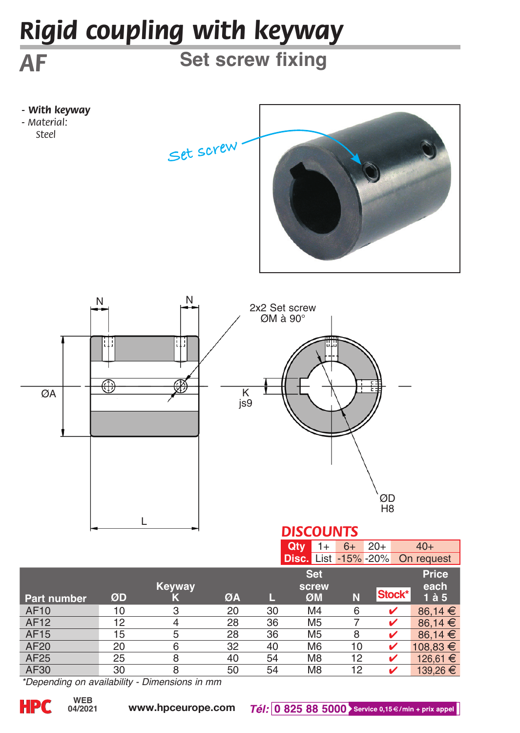## *Rigid coupling with keyway*

**Set screw fixing**

*- With keyway - Material:* 

*Steel*

*AF*





|                    |    |                |    |    | Qty<br>1+                   | $6+$ | $20+$  | $40+$            |
|--------------------|----|----------------|----|----|-----------------------------|------|--------|------------------|
|                    |    |                |    |    | <b>Disc.</b> List -15% -20% |      |        | On request       |
|                    |    |                |    |    | <b>Set</b>                  |      |        | Price            |
|                    |    | Keyway         |    |    | screw                       |      |        | each             |
| <b>Part number</b> | ØD | К              | ØA |    | ØM                          | N    | Stock* | $1\ \text{à}\ 5$ |
| <b>AF10</b>        | 10 | 3              | 20 | 30 | M4                          | 6    | ✔      | 86.14 $\in$      |
| <b>AF12</b>        | 12 | $\overline{4}$ | 28 | 36 | M <sub>5</sub>              |      |        | 86.14 $\in$      |
| <b>AF15</b>        | 15 | 5              | 28 | 36 | M <sub>5</sub>              | 8    |        | 86.14 $\in$      |
| AF20               | 20 | 6              | 32 | 40 | M <sub>6</sub>              | 10   |        | 108.83 €         |
| AF25               | 25 | 8              | 40 | 54 | M <sub>8</sub>              | 12   |        | 126.61 €         |
| AF30               | 30 | 8              | 50 | 54 | M <sub>8</sub>              | 12   |        | 139,26 €         |

*\*Depending on availability - Dimensions in mm*

**04/2021**